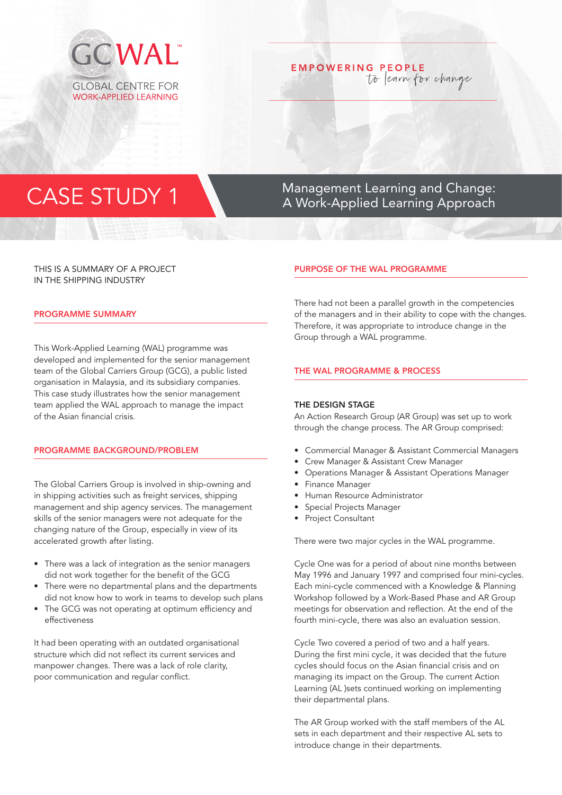

# **EMPOWERING PEOPLE** to learn for change

# CASE STUDY 1 Management Learning and Change:<br>A Work-Applied Learning Approach A Work-Applied Learning Approach

# THIS IS A SUMMARY OF A PROJECT IN THE SHIPPING INDUSTRY

### PROGRAMME SUMMARY

This Work-Applied Learning (WAL) programme was developed and implemented for the senior management team of the Global Carriers Group (GCG), a public listed organisation in Malaysia, and its subsidiary companies. This case study illustrates how the senior management team applied the WAL approach to manage the impact of the Asian financial crisis.

# PROGRAMME BACKGROUND/PROBLEM

The Global Carriers Group is involved in ship-owning and in shipping activities such as freight services, shipping management and ship agency services. The management skills of the senior managers were not adequate for the changing nature of the Group, especially in view of its accelerated growth after listing.

- There was a lack of integration as the senior managers did not work together for the benefit of the GCG
- There were no departmental plans and the departments did not know how to work in teams to develop such plans
- The GCG was not operating at optimum efficiency and effectiveness

It had been operating with an outdated organisational structure which did not reflect its current services and manpower changes. There was a lack of role clarity, poor communication and regular conflict.

### PURPOSE OF THE WAL PROGRAMME

There had not been a parallel growth in the competencies of the managers and in their ability to cope with the changes. Therefore, it was appropriate to introduce change in the Group through a WAL programme.

#### THE WAL PROGRAMME & PROCESS

#### THE DESIGN STAGE

An Action Research Group (AR Group) was set up to work through the change process. The AR Group comprised:

- Commercial Manager & Assistant Commercial Managers
- Crew Manager & Assistant Crew Manager
- Operations Manager & Assistant Operations Manager
- Finance Manager
- Human Resource Administrator
- Special Projects Manager
- Project Consultant

There were two major cycles in the WAL programme.

Cycle One was for a period of about nine months between May 1996 and January 1997 and comprised four mini-cycles. Each mini-cycle commenced with a Knowledge & Planning Workshop followed by a Work-Based Phase and AR Group meetings for observation and reflection. At the end of the fourth mini-cycle, there was also an evaluation session.

Cycle Two covered a period of two and a half years. During the first mini cycle, it was decided that the future cycles should focus on the Asian financial crisis and on managing its impact on the Group. The current Action Learning (AL )sets continued working on implementing their departmental plans.

The AR Group worked with the staff members of the AL sets in each department and their respective AL sets to introduce change in their departments.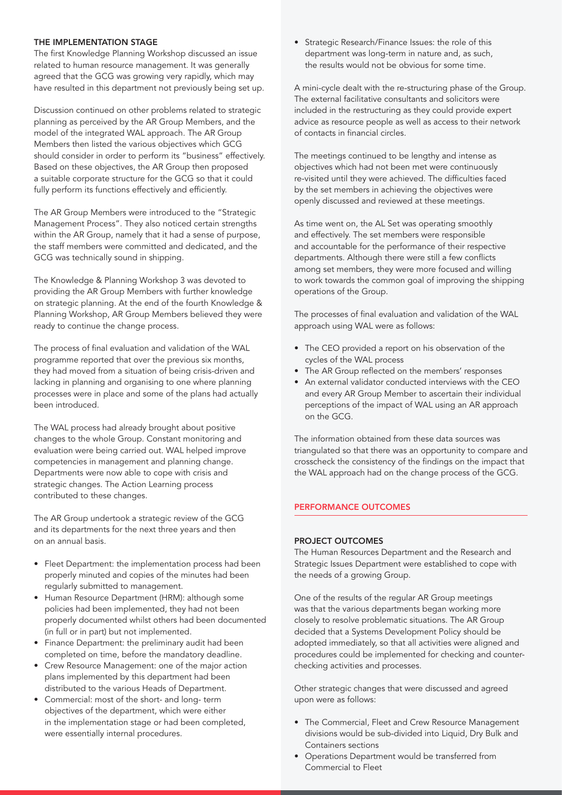# THE IMPLEMENTATION STAGE

The first Knowledge Planning Workshop discussed an issue related to human resource management. It was generally agreed that the GCG was growing very rapidly, which may have resulted in this department not previously being set up.

Discussion continued on other problems related to strategic planning as perceived by the AR Group Members, and the model of the integrated WAL approach. The AR Group Members then listed the various objectives which GCG should consider in order to perform its "business" effectively. Based on these objectives, the AR Group then proposed a suitable corporate structure for the GCG so that it could fully perform its functions effectively and efficiently.

The AR Group Members were introduced to the "Strategic Management Process". They also noticed certain strengths within the AR Group, namely that it had a sense of purpose, the staff members were committed and dedicated, and the GCG was technically sound in shipping.

The Knowledge & Planning Workshop 3 was devoted to providing the AR Group Members with further knowledge on strategic planning. At the end of the fourth Knowledge & Planning Workshop, AR Group Members believed they were ready to continue the change process.

The process of final evaluation and validation of the WAL programme reported that over the previous six months, they had moved from a situation of being crisis-driven and lacking in planning and organising to one where planning processes were in place and some of the plans had actually been introduced.

The WAL process had already brought about positive changes to the whole Group. Constant monitoring and evaluation were being carried out. WAL helped improve competencies in management and planning change. Departments were now able to cope with crisis and strategic changes. The Action Learning process contributed to these changes.

The AR Group undertook a strategic review of the GCG and its departments for the next three years and then on an annual basis.

- Fleet Department: the implementation process had been properly minuted and copies of the minutes had been regularly submitted to management.
- Human Resource Department (HRM): although some policies had been implemented, they had not been properly documented whilst others had been documented (in full or in part) but not implemented.
- Finance Department: the preliminary audit had been completed on time, before the mandatory deadline.
- Crew Resource Management: one of the major action plans implemented by this department had been distributed to the various Heads of Department.
- Commercial: most of the short- and long- term objectives of the department, which were either in the implementation stage or had been completed, were essentially internal procedures.

• Strategic Research/Finance Issues: the role of this department was long-term in nature and, as such, the results would not be obvious for some time.

A mini-cycle dealt with the re-structuring phase of the Group. The external facilitative consultants and solicitors were included in the restructuring as they could provide expert advice as resource people as well as access to their network of contacts in financial circles.

The meetings continued to be lengthy and intense as objectives which had not been met were continuously re-visited until they were achieved. The difficulties faced by the set members in achieving the objectives were openly discussed and reviewed at these meetings.

As time went on, the AL Set was operating smoothly and effectively. The set members were responsible and accountable for the performance of their respective departments. Although there were still a few conflicts among set members, they were more focused and willing to work towards the common goal of improving the shipping operations of the Group.

The processes of final evaluation and validation of the WAL approach using WAL were as follows:

- The CEO provided a report on his observation of the cycles of the WAL process
- The AR Group reflected on the members' responses
- An external validator conducted interviews with the CEO and every AR Group Member to ascertain their individual perceptions of the impact of WAL using an AR approach on the GCG.

The information obtained from these data sources was triangulated so that there was an opportunity to compare and crosscheck the consistency of the findings on the impact that the WAL approach had on the change process of the GCG.

# PERFORMANCE OUTCOMES

#### PROJECT OUTCOMES

The Human Resources Department and the Research and Strategic Issues Department were established to cope with the needs of a growing Group.

One of the results of the regular AR Group meetings was that the various departments began working more closely to resolve problematic situations. The AR Group decided that a Systems Development Policy should be adopted immediately, so that all activities were aligned and procedures could be implemented for checking and counterchecking activities and processes.

Other strategic changes that were discussed and agreed upon were as follows:

- The Commercial, Fleet and Crew Resource Management divisions would be sub-divided into Liquid, Dry Bulk and Containers sections
- Operations Department would be transferred from Commercial to Fleet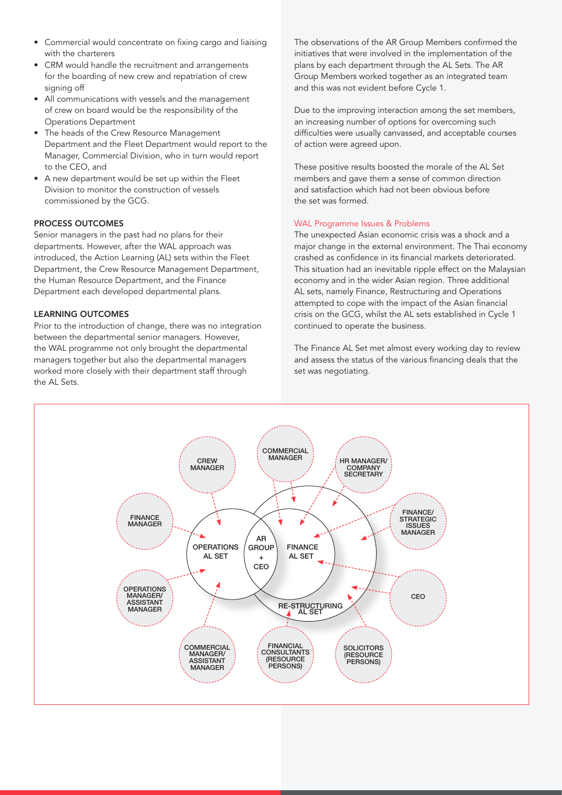- Commercial would concentrate on fixing cargo and liaising with the charterers
- CRM would handle the recruitment and arrangements for the boarding of new crew and repatriation of crew signing off
- All communications with vessels and the management of crew on board would be the responsibility of the Operations Department
- The heads of the Crew Resource Management Department and the Fleet Department would report to the Manager, Commercial Division, who in turn would report to the CEO, and
- A new department would be set up within the Fleet Division to monitor the construction of vessels commissioned by the GCG.

# PROCESS OUTCOMES

Senior managers in the past had no plans for their departments. However, after the WAL approach was introduced, the Action Learning (AL) sets within the Fleet Department, the Crew Resource Management Department, the Human Resource Department, and the Finance Department each developed departmental plans.

# LEARNING OUTCOMES

Prior to the introduction of change, there was no integration between the departmental senior managers. However, the WAL programme not only brought the departmental managers together but also the departmental managers worked more closely with their department staff through the AL Sets.

The observations of the AR Group Members confirmed the initiatives that were involved in the implementation of the plans by each department through the AL Sets. The AR Group Members worked together as an integrated team and this was not evident before Cycle 1.

Due to the improving interaction among the set members, an increasing number of options for overcoming such difficulties were usually canvassed, and acceptable courses of action were agreed upon.

These positive results boosted the morale of the AL Set members and gave them a sense of common direction and satisfaction which had not been obvious before the set was formed.

# WAL Programme Issues & Problems

The unexpected Asian economic crisis was a shock and a major change in the external environment. The Thai economy crashed as confidence in its financial markets deteriorated. This situation had an inevitable ripple effect on the Malaysian economy and in the wider Asian region. Three additional AL sets, namely Finance, Restructuring and Operations attempted to cope with the impact of the Asian financial crisis on the GCG, whilst the AL sets established in Cycle 1 continued to operate the business.

The Finance AL Set met almost every working day to review and assess the status of the various financing deals that the set was negotiating.